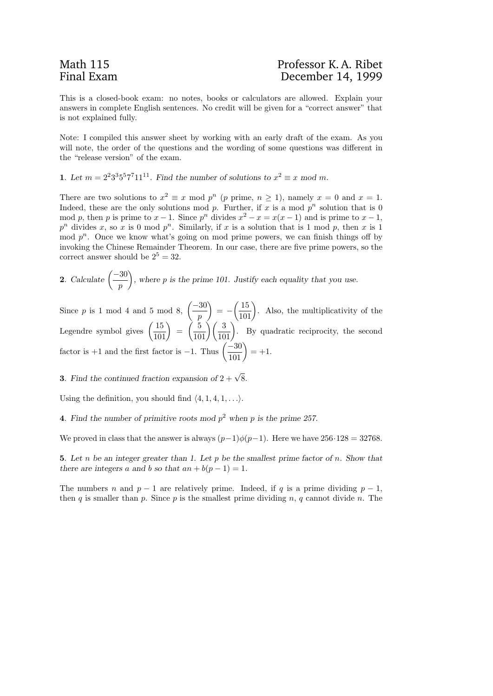This is a closed-book exam: no notes, books or calculators are allowed. Explain your answers in complete English sentences. No credit will be given for a "correct answer" that is not explained fully.

Note: I compiled this answer sheet by working with an early draft of the exam. As you will note, the order of the questions and the wording of some questions was different in the "release version" of the exam.

1. Let  $m = 2^2 3^3 5^5 7^7 11^{11}$ . Find the number of solutions to  $x^2 \equiv x \mod m$ .

There are two solutions to  $x^2 \equiv x \mod p^n$  (p prime,  $n \ge 1$ ), namely  $x = 0$  and  $x = 1$ . Indeed, these are the only solutions mod p. Further, if x is a mod  $p^n$  solution that is 0 mod p, then p is prime to  $x - 1$ . Since  $p<sup>n</sup>$  divides  $x<sup>2</sup> - x = x(x - 1)$  and is prime to  $x - 1$ ,  $p^n$  divides x, so x is 0 mod  $p^n$ . Similarly, if x is a solution that is 1 mod p, then x is 1 mod  $p^n$ . Once we know what's going on mod prime powers, we can finish things off by invoking the Chinese Remainder Theorem. In our case, there are five prime powers, so the correct answer should be  $2^5 = 32$ .

**2.** Calculate 
$$
\left(\frac{-30}{p}\right)
$$
, where *p* is the prime 101. Justify each equality that you use.

Since p is 1 mod 4 and 5 mod 8,  $\left( \frac{-30}{2} \right)$ p  $\left( \frac{15}{101} \right)$ . Also, the multiplicativity of the Legendre symbol gives  $\left(\frac{15}{101}\right) = \left(\frac{5}{101}\right) \left(\frac{3}{101}\right)$ . By quadratic reciprocity, the second factor is +1 and the first factor is -1. Thus  $\left(\frac{-30}{101}\right) = +1$ .

**3.** Find the continued fraction expansion of  $2 + \sqrt{8}$ .

Using the definition, you should find  $\langle 4, 1, 4, 1, \ldots \rangle$ .

4. Find the number of primitive roots mod  $p^2$  when p is the prime 257.

We proved in class that the answer is always  $(p-1)\phi(p-1)$ . Here we have 256·128 = 32768.

5. Let n be an integer greater than 1. Let  $p$  be the smallest prime factor of n. Show that there are integers a and b so that  $an + b(p - 1) = 1$ .

The numbers n and  $p-1$  are relatively prime. Indeed, if q is a prime dividing  $p-1$ , then q is smaller than p. Since p is the smallest prime dividing n, q cannot divide n. The